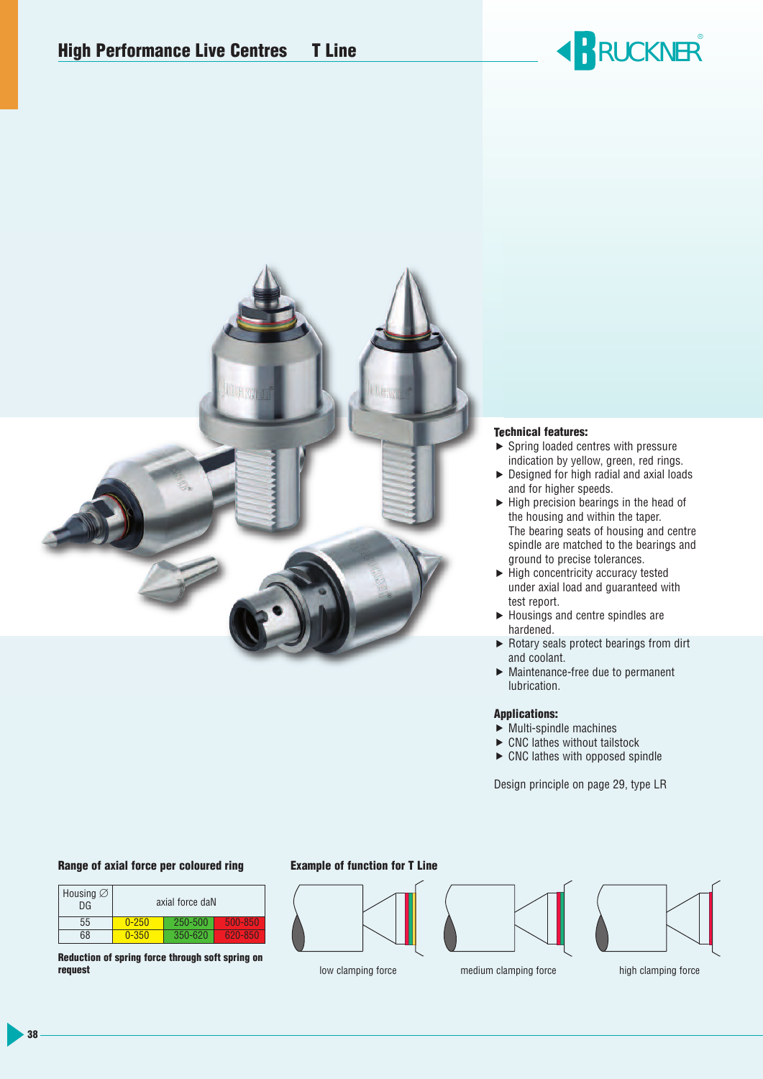# **RUCKNER**®



#### **Technical features:**

- $\triangleright$  Spring loaded centres with pressure indication by yellow, green, red rings.
- ▶ Designed for high radial and axial loads and for higher speeds.
- $\blacktriangleright$  High precision bearings in the head of the housing and within the taper. The bearing seats of housing and centre spindle are matched to the bearings and ground to precise tolerances.
- $\blacktriangleright$  High concentricity accuracy tested under axial load and guaranteed with test report.
- $\blacktriangleright$  Housings and centre spindles are hardened.
- ▶ Rotary seals protect bearings from dirt and coolant.
- Maintenance-free due to permanent lubrication.

#### **Applications:**

- $\blacktriangleright$  Multi-spindle machines
- $\blacktriangleright$  CNC lathes without tailstock
- $\triangleright$  CNC lathes with opposed spindle

Design principle on page 29, type LR

#### **Range of axial force per coloured ring**

| Housing $\varnothing$<br>DG | axial force daN |         |         |  |  |  |
|-----------------------------|-----------------|---------|---------|--|--|--|
| 55                          | $0 - 250$       | 250-500 | 500-850 |  |  |  |
| 68                          | $0 - 350$       | 350-620 | 620-850 |  |  |  |

**Reduction of spring force through soft spring on request**

#### **Example of function for T Line**







low clamping force medium clamping force high clamping force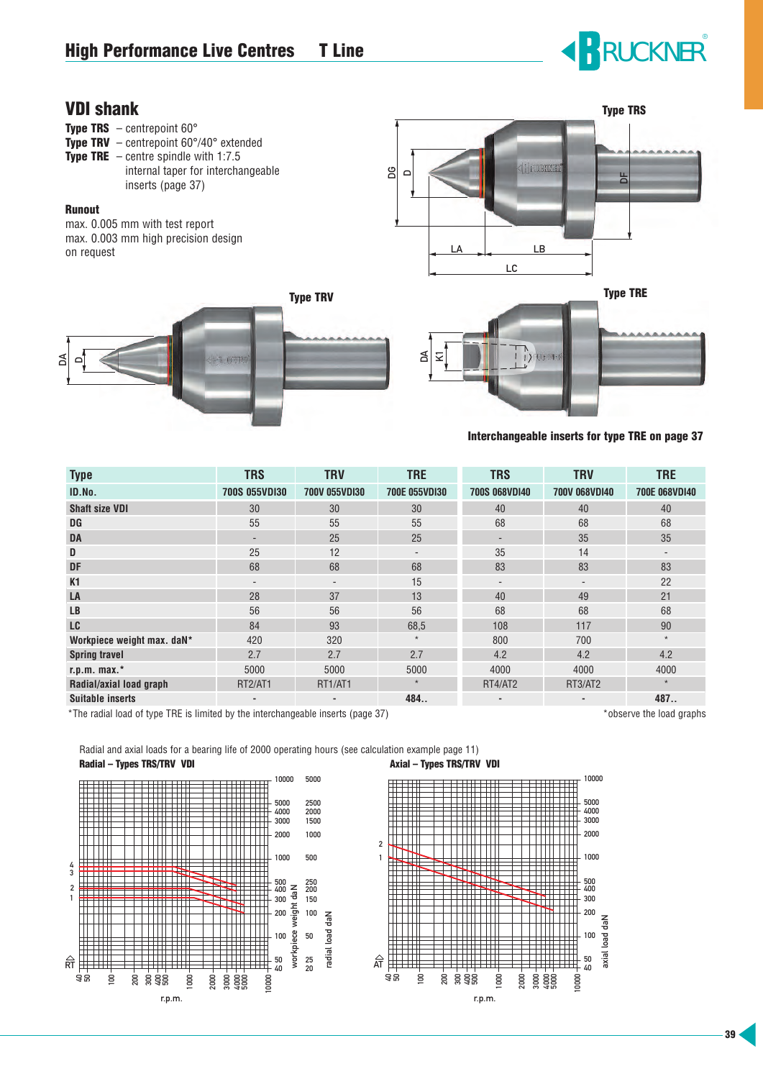# **RUCKNER**®

### **VDI shank**

- **Type TRS**  $-$  centrepoint  $60^\circ$
- **Type TRV**  centrepoint 60°/40° extended
- **Type TRE**  centre spindle with 1:7.5 internal taper for interchangeable inserts (page 37)

#### **Runout**

max. 0.005 mm with test report max. 0.003 mm high precision design on request



**Type TRV**





**Interchangeable inserts for type TRE on page 37**

| <b>Type</b>                | <b>TRS</b>                   | <b>TRV</b>               | <b>TRE</b>               | <b>TRS</b>           | <b>TRV</b>               | <b>TRE</b>               |
|----------------------------|------------------------------|--------------------------|--------------------------|----------------------|--------------------------|--------------------------|
| ID.No.                     | <b>700S 055VDI30</b>         | <b>700V 055VDI30</b>     | <b>700E 055VDI30</b>     | <b>700S 068VD140</b> | <b>700V 068VDI40</b>     | <b>700E 068VDI40</b>     |
| <b>Shaft size VDI</b>      | 30                           | 30                       | 30                       | 40                   | 40                       | 40                       |
| DG                         | 55                           | 55                       | 55                       | 68                   | 68                       | 68                       |
| DA                         | -                            | 25                       | 25                       |                      | 35                       | 35                       |
| D                          | 25                           | 12                       | $\overline{\phantom{a}}$ | 35                   | 14                       | $\overline{\phantom{a}}$ |
| <b>DF</b>                  | 68                           | 68                       | 68                       | 83                   | 83                       | 83                       |
| K <sub>1</sub>             | $\qquad \qquad \blacksquare$ | $\overline{\phantom{a}}$ | 15                       |                      | $\overline{\phantom{a}}$ | 22                       |
| LA                         | 28                           | 37                       | 13                       | 40                   | 49                       | 21                       |
| <b>LB</b>                  | 56                           | 56                       | 56                       | 68                   | 68                       | 68                       |
| <b>LC</b>                  | 84                           | 93                       | 68,5                     | 108                  | 117                      | 90                       |
| Workpiece weight max. daN* | 420                          | 320                      | $\star$                  | 800                  | 700                      | $\star$                  |
| <b>Spring travel</b>       | 2.7                          | 2.7                      | 2.7                      | 4.2                  | 4.2                      | 4.2                      |
| $r.p.m. max.*$             | 5000                         | 5000                     | 5000                     | 4000                 | 4000                     | 4000                     |
| Radial/axial load graph    | RT2/AT1                      | RT1/AT1                  | $\star$                  | RT4/AT2              | RT3/AT2                  | $\star$                  |
| <b>Suitable inserts</b>    | ٠                            | ٠                        | 484                      | ٠                    | ٠                        | 487                      |

\*The radial load of type TRE is limited by the interchangeable inserts (page 37) \*observe the load graphs

Radial and axial loads for a bearing life of 2000 operating hours (see calculation example page 11) Radial – Types TRS/TRV VDI **Axial – Types TRS/TRV VDI** 



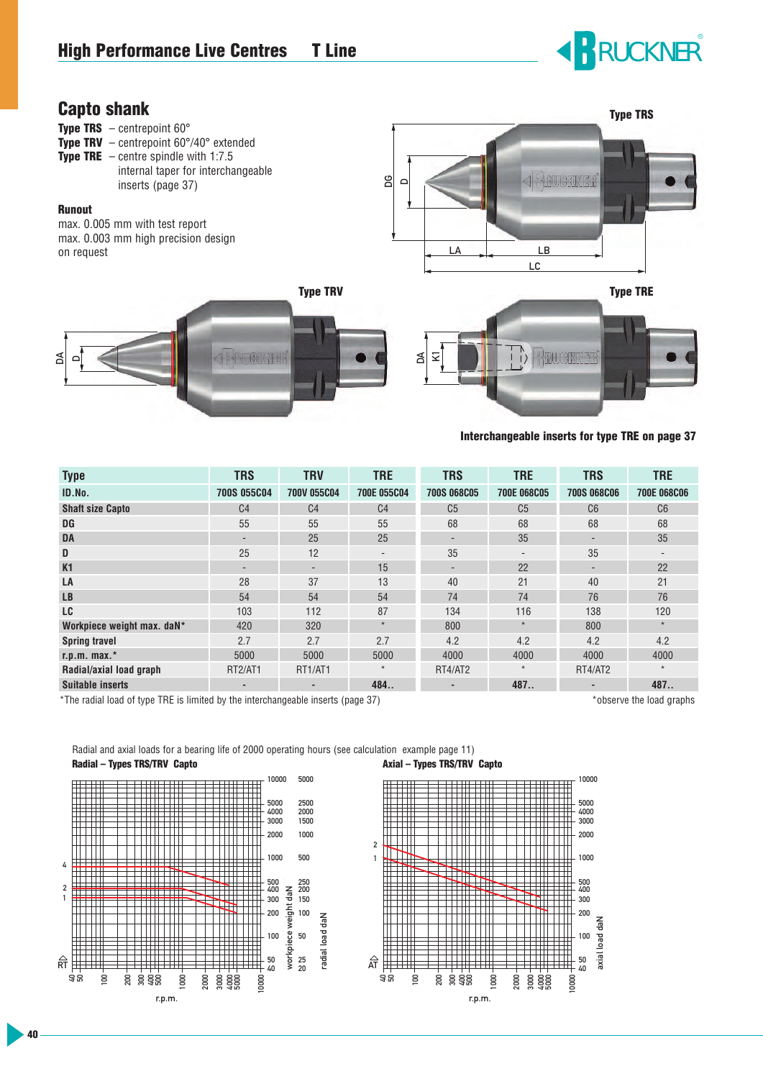# **RUCKNER**®

### **Capto shank**

DA D



 $\leq$  $\leq$ 



| <b>Type</b>                | <b>TRS</b>               | <b>TRV</b>     | <b>TRE</b>               | <b>TRS</b>               | <b>TRE</b>               | <b>TRS</b>               | <b>TRE</b>         |
|----------------------------|--------------------------|----------------|--------------------------|--------------------------|--------------------------|--------------------------|--------------------|
| ID.No.                     | <b>700S 055C04</b>       | 700V 055C04    | 700E 055C04              | <b>700S 068C05</b>       | 700E 068C05              | <b>700S 068C06</b>       | <b>700E 068C06</b> |
| <b>Shaft size Capto</b>    | C <sub>4</sub>           | C <sub>4</sub> | C <sub>4</sub>           | C <sub>5</sub>           | C <sub>5</sub>           | C6                       | C6                 |
| DG                         | 55                       | 55             | 55                       | 68                       | 68                       | 68                       | 68                 |
| <b>DA</b>                  | $\overline{\phantom{0}}$ | 25             | 25                       | $\overline{\phantom{a}}$ | 35                       | $\overline{\phantom{a}}$ | 35                 |
| D                          | 25                       | 12             | $\overline{\phantom{a}}$ | 35                       | $\overline{\phantom{a}}$ | 35                       |                    |
| K1                         | $\overline{\phantom{0}}$ | ۰              | 15                       | $\overline{\phantom{a}}$ | 22                       | $\overline{\phantom{a}}$ | 22                 |
| LA                         | 28                       | 37             | 13                       | 40                       | 21                       | 40                       | 21                 |
| <b>LB</b>                  | 54                       | 54             | 54                       | 74                       | 74                       | 76                       | 76                 |
| LC                         | 103                      | 112            | 87                       | 134                      | 116                      | 138                      | 120                |
| Workpiece weight max. daN* | 420                      | 320            | $\star$                  | 800                      | $\star$                  | 800                      | $\star$            |
| <b>Spring travel</b>       | 2.7                      | 2.7            | 2.7                      | 4.2                      | 4.2                      | 4.2                      | 4.2                |
| $r.p.m. max.*$             | 5000                     | 5000           | 5000                     | 4000                     | 4000                     | 4000                     | 4000               |
| Radial/axial load graph    | RT2/AT1                  | RT1/AT1        | $\star$                  | RT4/AT2                  | $\star$                  | RT4/AT2                  | $\star$            |
| <b>Suitable inserts</b>    |                          |                | 484                      |                          | 487                      |                          | 487                |

\*The radial load of type TRE is limited by the interchangeable inserts (page 37) \*observe the load graphs

Radial and axial loads for a bearing life of 2000 operating hours (see calculation example page 11) **Radial – Types TRS/TRV Capto Axial – Types TRS/TRV Capto**